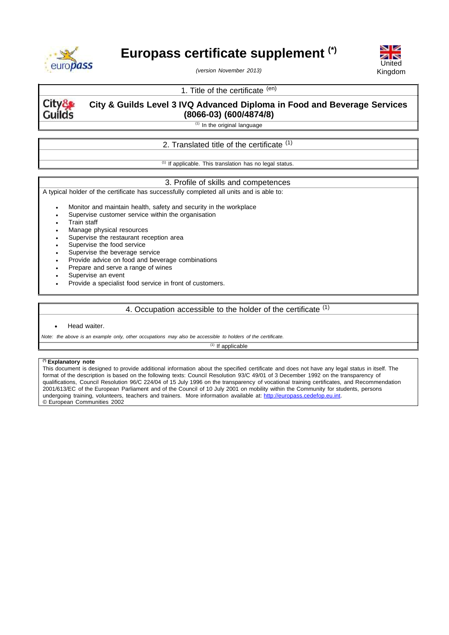

# **Europass certificate supplement (\*)**



*(version November 2013)*

## 1. Title of the certificate (en)



## **City & Guilds Level 3 IVQ Advanced Diploma in Food and Beverage Services (8066-03) (600/4874/8)**

 $(1)$  In the original language

# 2. Translated title of the certificate <sup>(1)</sup>

 $(1)$  If applicable. This translation has no legal status.

#### 3. Profile of skills and competences

A typical holder of the certificate has successfully completed all units and is able to:

Monitor and maintain health, safety and security in the workplace

- Supervise customer service within the organisation
- Train staff
- Manage physical resources
- Supervise the restaurant reception area
- Supervise the food service
- Supervise the beverage service
- Provide advice on food and beverage combinations
- Prepare and serve a range of wines
- Supervise an event
- Provide a specialist food service in front of customers.

## 4. Occupation accessible to the holder of the certificate (1)

Head waiter.

Note: the above is an example only, other occupations may also be accessible to holders of the certificate.

 $(1)$  If applicable

#### **(\*) Explanatory note**

This document is designed to provide additional information about the specified certificate and does not have any legal status in itself. The format of the description is based on the following texts: Council Resolution 93/C 49/01 of 3 December 1992 on the transparency of qualifications, Council Resolution 96/C 224/04 of 15 July 1996 on the transparency of vocational training certificates, and Recommendation 2001/613/EC of the European Parliament and of the Council of 10 July 2001 on mobility within the Community for students, persons undergoing training, volunteers, teachers and trainers. More information available at: [http://europass.cedefop.eu.int.](http://europass.cedefop.eu.int/) © European Communities 2002